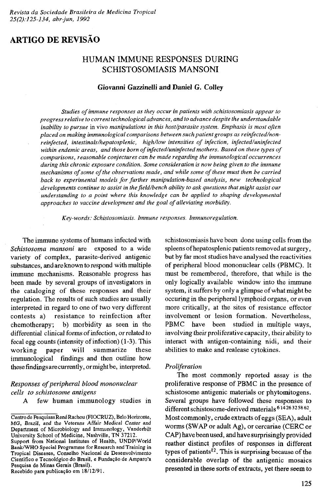# **ARTIGO DE REVISÃO**

## **HUMAN IMMUNE RESPONSES DURING SCHISTOSOMIASIS MANSONI**

## **Giovanni Gazzinelli and Daniel G. Colley**

*Studies of immune responses as they occur in patients with schistosomiasis appear to progress relative to corrent technological advances, and to advance despite the understandable inability to pursue* in vivo *manipulations in this host/parasite system. Emphasis is most often placed on making immunological comparisons between such patient groups as reinfected/nonreinfected, intestinals/hepatosplenic, high/low intensities of infection, infected/uninfected* within endemic areas, and those born of infected/uninfected mothers. Based on these types of *comparisons, reasonable conjectures can be made regarding the immunological occurrences during this chronic exposure condition. Some consideration is now being given to the immune mechanisms of some of the observations made, and while some of these must then be carried back to experimental models for further manipulation-based analysis, new technological developments continue to assist in the field/bench ability to ask questions that might assist our understanding to a point where this knowledge can be applied to shaping developmental* approaches to vaccine development and the goal of alleviating morbidity.

*Key-words: Schistosomiasis. Immune responses. Immunoregulation.*

**The immune systems of humans infected with** *Schistosoma mansoni* **are exposed to a wide** variety of complex, parasite-derived antigenic **substances, and are known to respond with multiple immune mechanisms. Reasonable progress has been made by several groups of investigators in** the cataloging of these responses and their **regulation. The results of such studies are usually interpreted in regard to one of two very different contests a) resistance to reinfection after chemotherapy; b) morbidity as seen in the differential clinical forms of infection, or related to fecal egg counts (intensity of infection) (1-3). This** working paper will summarize these **immunological findings and then outline how these findings are currently, ormightbe, interpreted.**

## *Responses of peripheral blood mononuclear cells to schistosome antigens*

**A few human immunology studies in**

Recebido para publicação em 18/12/91.

**schistosomiasis have been done using cells from the spleens of hepatosplenic patients removed at surgery, but by far most studies have analysed the reactivities of peripheral blood mononuclear cells (PBMC). It must be remembered, therefore, that while is the only logically available window into the immune** system, it suffers by only a glimpse of what might be **occuring in the peripheral lymphoid organs, or even more critically, at the sites of resistance effector involvement or lesion formation. Nevertheless, PBMC have been studied in multiple ways, involving their proliferative capacity, their ability to interact with antigen-containing nidi, and their abilities to make and realease cytokines.**

#### *Proliferation*

**The most commonly reported assay is the proliferative response of PBMC in the presence of schistosome antigenic materials or phytomitogens. Several groups have followed these responses to different schistosome-derived materials 614263258 62. Most commonly, crude extracts of eggs (SEA), adult worms (SWAP or adult Ag), or cercariae (CERC or CAP) have been used, and have surprisingly provided reather distinct profiles of responses in different types of patients12. This is surprising because of the** considerable overlap of the antigenic mosaics presented in these sorts of extracts, yet there seem to

Centro de Pesquisas René Rachou (FIOCRUZ), Belo Horizonte, MG, Brazil, and the Veterans Affair Medical Center and Department of Microbiology and Immunology, Vanderbilt University School of Medicine, Nashville, TN 37212.

Support from National Institutes of Health, UNDP/World Bank/WHO Special Programme for Research and Training in Tropical Diseases, Conselho Nacional de Desenvolvimento Cientifico e Tecnológico do Brasil, e Fundação de Amparo'a Pesquisa de Minas Gerais (Brasil).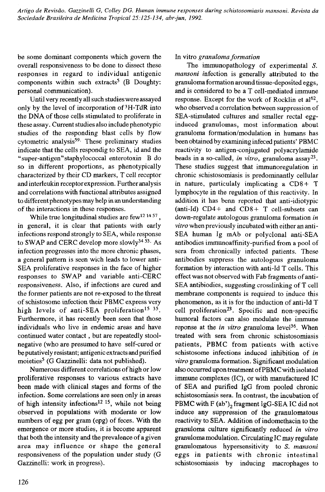**be some dominant components which govern the overall responsiveness to be done to dissect these responses in regard to individual antigenic components within such extracts5 (B Doughty: personal communication).**

**Until very recently all such studies were assayed only by the level of incorporation of 3H-TdR into** the DNA of those cells stimulated to proliferate in **these assay. Current studies also include phenotypic** studies of the responding blast cells by flow **cytometric analysis59- These preliminary studies indicate that the cells respondig to SEA, id and the "super-antigen"staphylococcal enterotoxin B do so in different proportions, as phenotypically characterized by their CD markers, T cell receptor and interleukin receptor expression. Further analysis and correlations with functional attributes assigned to different phenotypes may help in an understanding** of the interactions in these responses.

**While true longitudinal studies are few12 14 57 , in general, it is clear that patients with early infections respond strongly to SEA, while response to SWAP and CERC develop more slowly34 53- As infection progresses into the more chronic phases, a general pattern is seen wich leads to lower anti-SEA** proliferative responses in the face of higher **responses to SWAP and variable anti-CERC responsiveness. Also, if infections are cured and the former patients are not re-exposed to the threat** of schistosome infection their PBMC express very high levels of anti-SEA proliferation<sup>15</sup> 35. **Furthermore, it has recently been seen that those individuals who live in endemic areas and have continued water contact, but are repeatedly stoolnegative (who are presumed to have self-cured or beputatively resistant; antigenic extracts and purified moieties5 (G Gazzinelli: data not published).**

Numerous different correlations of high or low **proliferative responses to various extracts have been made with clinical stages and forms of the infection. Some correlations are seen only in areas of high intensity infections12 15, while not being observed in populations with moderate or low numbers of egg per gram (epg) of feces. With the emergence or more studies, it is become apparent that both the intensity and the prevalence of a given area may influ ence or shape the general responsiveness of the population under study (G Gazzinelli: work in progress).**

## **In vitro** *granuloma form ation*

**The immunopathology of experimental** *S. mansoni* **infection is generally attributed to the granuloma formation around tissue-deposited eggs, and is considered to be a T cell-mediated immune response. Except for the work of Rocklin et al62, who observed a correlation between suppression of SEA-stimulated cultures and smaller rectal egginduced granulomas, most information about granuloma formation/modulation in humans has been obtained by examining infeced patients' PBMC reactivity to antigen-conjugated polyacrylamide beads in a so-called,** *in vitro,* **granuloma assay23. These studies suggest that immunoregulation in chronic schistosomiasis is predominantly cellular in nature, particulaly implicating a CD 8 + T lymphocyte in the regulation of this reactivity. In addition it has benn reported that anti-idiotypic (anti-id) C D4+ and CD 8 + T cell-subsets can down-regulate autologous granuloma formation** *in vitro* **when previously incubated with either an anti-SEA human Ig mAb or polyclonal anti-SEA antibodies immunoaffmity-purified from a pool of sera from chronically infected patients. These antibodies suppress the autologous granuloma formation by interaction with anti-id T cells. This** effect was not observed with Fab fragments of anti-**SEA** antibiodies, suggesting crosslinking of T cell **membrane components is required to induce this phenomenon, as it is for the induction of anti-id T cell proliferation23. Specific and non-specific humoral factors can also modulate the immune reponse at the** *in vitro* **granuloma level36. When treated with sera from chronic schistosomiasis patients, PBMC from patients with active** schistosome infections induced inhibition of *in vitro* **granuloma formation. Significant modulation also occurred upon treatment o f PBMC with isolated immune complexes (IC), or with manufactured IC of SEA and purified IgG from pooled chronic schistosomiasis sera. In contrast, the incubation of** PBMC with F (ab')<sub>2</sub> fragment IgG-SEA IC did not **induce any suppression of the granulomatous reactivity to SEA. Addition of indomethacin to the granuloma culture significantly reduced** *in vitro* **granuloma modulation. Circulating IC may regulate granulomatous hypersensitivity to** *S. mansoni* eggs in patients with chronic intestinal **schistosomiasis by inducing macrophages to**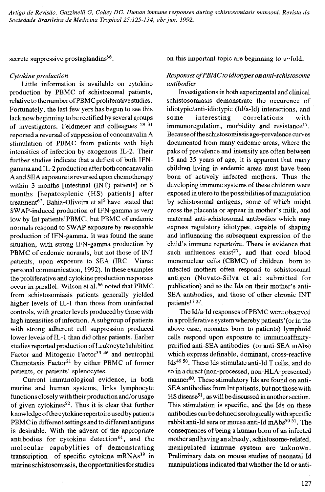**secrete suppressive prostaglandins36.**

## *Cytokine production*

**Little information is available on cytokine** production by PBMC of schistosomal patients, relative to the number of PBMC proliferative studies. **Fortunately, the last few yers has begun to see this lack now beginning to be rectified by several groups of investigators. Feldmeier and colleagues 29 31 reported a reversal of suppession of concanavalin A stimulation of PBMC from patients with high** intensities of infection by exogenous IL-2. Their **further studies indicate that a deficit of both IFNgamma and IL-2 production after both concanavalin A and SEA exposure is reversed upon chemotherapy within 3 months [intestinal (INT) patients] or 6 months [hepatosplenic (HS) patients] after treatment67. Bahia-Oliveira et al5 have stated that SWAP-induced production of IFN-gamma is very low by Int patients'PBMC, but PBMC of endemic normals respond to SWAP exposure by reasonable production of IFN-gamma. It was found the same situation, with strong IFN-gamma production by** PBMC of endemic normals, but not those of INT **patients, upon exposure to SEA (IRC Viana: personal communication, 1992). In these examples the proliferative and cytokine production responses occur in parallel. Wilson et al.66 noted that PBMC from schistosomiasis patients generally yielded** higher levels of IL-1 than those from uninfected **controls, with greater levels produced by those with high intensities of infection. A subgroup of patients with strong adherent cell suppression produced lower levels of IL-1 than did other patients. Earlier studies reported production of Leukocyte Inhibition Factor and Mitogenic Factor33 46 and neutrophil Chemotaxis Factor21 by either PBMC of former patients, or patients' splenocytes.**

**Current immunological evidence, in both murine and human systems, links lymphocyte functions closely with their production and/or usage** of given cytokines<sup>52</sup>. Thus it is clear that further knowledge of the cytokine repertoire used by patients **PBMC in different settings and to different antigens is desirable. With the advent of the appropriate antibodies for cytokine detection61, and the** molecular capabylities of demonstrating **transcription of specific cytokine mRNAs39 in murine schistosomiasis, the opportunities for studies**

**on this important topic are beginning to unfold.**

## *Responses o f PBMC to idiotypes on anti -schistosome antibodies*

**Investigations in both experimental and clinical schistosomiasis demonstrate the occurence of idiotypic/anti-idiotypic (Id/a-Id) interactions, and** some interesting correlations with **immunoregulation, morbidity and resistance17. Because of the schistosomiasis age-p revalence curves documented from many endemic areas, where the paks of prevalence and intensity are often between 15 and 35 years of age, it is apparent that many children living in endemic areas must have been** born of actively infected mothers. Thus the **developing immune systems of these children were** exposed in utero to the possibilities of manipulation by schistosomal antigens, some of which might **cross the placenta or appear in mother's milk, and maternal anti-schistosomal antibodies which may express regulatory idiotypes, capable of shaping and influencing the subsequent expression of the child's immune repertoire. There is evidence that** such influences exist<sup>27</sup>, and that cord blood **mononuclear cells (CBMC) of children bom to infected mothers often respond to schistosomal** antigen (Novato-Silva et al: submitted for **publication) and to the Ids on their mother's anti-SEA antibodies, and those of other chronic INT patients17 27.**

The Id/a-Id responses of PBMC were observed **in a proliferative system whereby patients' (or in the above case, neonates bom to patients) lymphoid cells respond upon exposure to immunoaffinitypurified anti-SEA antibodies (or anti-SEA mAbs) which express definable, dominant, cross-reactive Ids49 50. These Ids stimulate anti-id T cells, and do so in a direct (non-processed, non-HLA-presented) manner60. These stimulatory Ids are found on anti-SEA antibodies from Int patients, but not those with HS disease51, as will be discussed in another section. This stimulation is specific, and the Ids on these antibodies can be defined serologically with specific rabbit anti-Id sera or mouse anti-Id mAbs50 51. The consequences of being a human bom of an infected mother and having an already, schistosome-related, manipulated immune system are unknown. Preliminary data on mouse studies of neonatal Id manipulations indicated that whether the Id or anti-**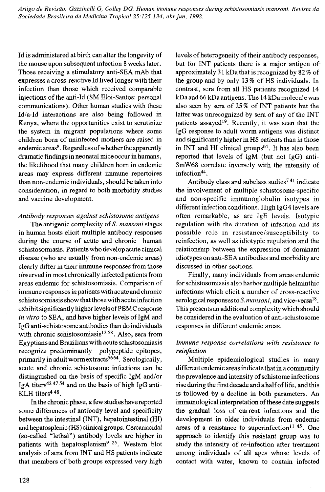**Id is administered at birth can alter the longevity of the mouse upon subsequent infection 8 weeks later. Those receiving a stimulatory anti-SEA mAb that expresses a cross-reactive Id lived longer with their infection than those which received comparable** injections of the anti-Id (SM Eloi-Santos: personal **communications). Other human studies with these Id/a-Id interactions are also being followed in Kenya, where the opportunities exist to scrutinize the system in migrant populations where some** children born of uninfected mothers are raised in **endemic areas8. Regardless of whether the apparently dramatic findings in neonatal mice occur in humans, the likelihood that many children bom in endemic areas may express different immune repertoires than non-endemic individuals, should be taken into consideration, in regard to both morbidity studies and vaccine development.**

## *Antibody responses against schistosome antigens*

**The antigenic complexity of** *S. mansoni* **stages in human hosts elicit multiple antibody responses** during the course of acute and chronic human **schistosomiasis. Patients who develop acute clinical disease (who are usually from non-endemic areas) clearly differ in their immune responses from those observed in most chronically infected patients from areas endemic for schistosomiasis. Comparison of immune responses in patients with acute and chronic schistosomiasis show that those with acute infection exhibit significantly higher levels of PBMC response** in vitro to SEA, and have higher levels of IgM and **IgG anti-schistosome antibodies than do individuals with chronic schistosomiasis1258. Also, sera from Egyptians and Brazilians with acute schistosomiasis recognize predominantly polypeptide epitopes, primarily in adult worm extracts5664. Serologically, acute and chronic schistosome infections can be distinguished on the basis of specific IgM and/or IgA titers42 47 54 and on the basis of high IgG anti-KLH titers448.**

**In the chronic phase, a few studies have reported some differences of antibody level and specificity between the intestinal (INT), hepatointestinal (HI) and hepatosplenic (HS) clinical groups. Cercariacidal (so-called "lethal") antibody levels are higher in patients with hepatosplenism9 25. Western blot analysis of sera from INT and HS patients indicate that members of both groups expressed very high**

levels of heterogeneity of their antibody responses, **but for INT patients there is a major antigen of approximately 31 kDa that is recognized by 82 % of** the group and by only 13% of HS individuals. In **contrast, sera from all HS patients recognized 14 kDa and 66 kDa antigens. The 14 kDa molecule was** also seen by sera of 25% of INT patients but the latter was unrecognized by sera of any of the INT **patients assayed19. Recently, it was seen that the IgG response to adult worm antigens was distinct and significantly higher in HS patients than in those in INT and HI clinical groups64. It has also been reported that levels of IgM (but not IgG) anti-SmW68 correlate inversely with the intensity of infection44.**

**Antibody class and subclass sudies741 indicate the involvement of multiple schistosome-specific and non-specific immunoglobulin isotypes in different infection conditions. High IgG4 levels are often remarkable, as are IgE levels. Isotypic regulation with the duration of infection and its possible role in resistance/susceptibility to reinfection, as well as idiotypic regulation and the relationship between the expression of dominant idiotypes on anti-SEA antibodies and morbidity are discussed in other sections.**

**Finally, many individuals from areas endemic for schistosomiasis also harbor multiple helminthic** infections which elicit a number of cross-reactive **serological responses to** *S. mansoni,* **and vice-versa18. This presents an additional complexity which should be considered in the evaluation of anti-schistosome responses in different endemic areas.**

## *Immune response correlations with resistance to reinfection*

**Multiple epidemiological studies in many different endemic areas indicate that in a community** the prevalence and intensity of schistome infections **rise during the first decade and a half of life, and this is followed by a decline in both parameters. An** immunological interpretation of these date suggests **the gradual loss of current infections and the development in older individuals from endemic** areas of a resistance to superinfection<sup>11 45</sup>. One **approach to identify this resistant group was to** study the intensity of re-infection after treatment among individuals of all ages whose levels of **contact with water, known to contain infected**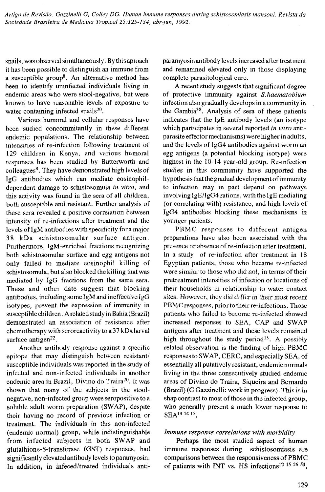**snails, was observed simultaneously. By this aproach it has been possible to distinguish an immune from a susceptible group8. An alternative method has been to identify uninfected individuals living in endemic areas who were stool-negative, but were known to have reasonable levels of exposure to water containing infected snails20.**

**Various humoral and cellular responses have been sudied concommitantly in these different endemic populations. The relationship between** intensities of re-infection following treatment of **129 children in Kenya, and various humoral responses has been studied by Butterworth and colleagues8. They have demonstrated high levels of IgG antibodies which can mediate eosinophildependent damage to schistosomula** *in vitro,* **and this activity was found in the sera of all children, both susceptible and resistant. Further analysis of these sera revealed a positive correlation between intensity of re-infections after treatment and the levels of IgM antibodies with specificity fora major 38 kDa sch istosom ular surface antigen. Furthermore, IgM-enriched fractions recognizing both schistosomular surface and egg antigens not only failed to mediate eosinophil killing of schistosomula, but also blocked the killing that was mediated by IgG fractions from the same sera. These and other date suggest that blocking antibodies, including some IgM and ineffective IgG isotypes, prevent the expression of immunity in susceptible children. A related study in Bahia (Brazil) demonstrated an association of resistance after chemotherapy with seroreactivity to a 37 kDa larval surface antigen22.**

**Another antibody response against a specific epitope that may distinguish between resistant/ susceptible individuals was reported in the study of infected and non-infected individuals in another endemic area in Brazil, Divino do Traira20. It was shown that many of the subjects in the stoolnegative, non-infected group were seropositive to a soluble adult worm preparation (SWAP), despite their having no record of previous infection or treatment. The individuals in this non-infected (endemic normal) group, while indistinguishable from infected subjects in both SWAP and glutathione-S-transferase (GST) responses, had significantly elevated antibody levels to paramyosin. In addition, in infeced/treated individuals anti-** **paramyosin antibody levels increased after treatment and remanined elevated only in those displaying complete parasitological cure.**

**A recent study suggests that significant degree of protective immunity against** *S. haematobium* **infection also gradually develops in a community in** the Gambia<sup>38</sup>. Analysis of sera of these patients **indicates that the IgE antibody levels (an isotype which participates in several reported** *in vitro* **antiparasite effector mechanisms) were higher in adults, and the levels of IgG4 antibodies against worm an egg antigens (a potential blocking isotype) were highest in the 10-14 year-old group. Re-infection studies in this community have supported the hypothesi s that the gradual development of immunity to infection may in part depend on pathways involving IgE/lgG4 rations, with the IgE mediating (or correlating with) resistance, and high levels of IgG4 antibodies blocking these mechanisms in younger patients.**

**PBMC responses to different antigen preparations have also been associated with the presence or absence of re-infection after treatment. In a study of re-infection after treatment in 18 Egyptian patients, those who became re-infected were similar to those who did not, in terms of their pretreatment intensities of infection or locations of their households in relationship to water contact sites. However, they did differ in their most recent PBMC responses, prior to their re-infections. Those patients who failed to become re-infected showed increased responses to SEA, CAP and SWAP antigens after treatment and these levels remained high throughout the study period13. A possibly related observation is the finding of high PBMC responses to SWAP, CERC, and especially SEA, of essentially all putatively resistant, endemic normals living in the three consecutively studied endemic areas of Divino do Traira, Siqueira and Bernardo (Brazil) (G Gazzinelli: work in progress). This is in** shap contrast to most of those in the infected group, **who generally present a much lower response to SEA1314 15.**

#### *Immune response correlations with m orbidity*

**Perhaps the most studied aspect of human immune responses during schistosomiasis are** comparisons between the responsiveness of PBMC **of patients with INT vs. HS infections12 IS 26 53.**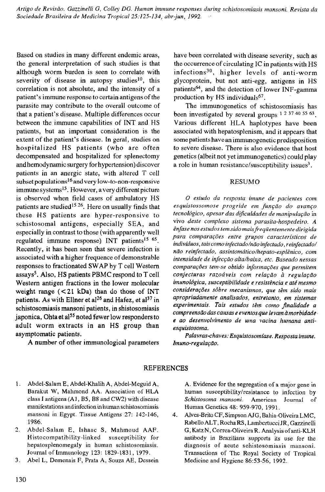**Based on studies in many different endemic areas, the general interpretation of such studies is that although worm burden is seen to correlate with** severity of disease in autopsy studies<sup>10</sup>, this **correlation is not absolute, and the intensity of a patient's immune response to certain antigens of the parasite may contribute to the overall outcome of that a patient's disease. Multiple differences occur between the immune capabilities of INT and HS patients, but an important consideration is the** extent of the patient's disease. In geral, studies on **h osp italized HS patients (w ho are often decompensated and hospitalized for splenectomy and hemodynamic surgery for hypertension) discover patients in an anergic state, with altered T cell subset populations16 and very low-to-non-responsi ve immune systems13. However, a very different picture is observed when field cases of ambulatory HS patients are studied15 26. Here on usually finds that these HS patients are hyper-responsive to schistosom al antigens, especially SEA, and especially in contrast to those (with apparently well regulated immune response) INT patients15 6S. Recently, it has been seen that severe infection is associated with a higher frequence of demonstrable responses to fractionated SWAP by T cell Western assays5. Also, HS patients PBMC respond to T cell Western antigen fractions in the lower molecular** weight range (<21 kDa) than do those of INT **patients. As with Ellner et al26 and Hafez, et al37 in schistosomiasis mansoni patients, in shistosomiasis japonica, Ohta et al55 noted fewer low responders to adult worm extracts in an HS group than asymptomatic patients.**

A number of other immunological parameters

**have been correlated with disease severity, such as the occurrence of circulating IC in patients with HS** infections<sup>30</sup>, higher levels of anti-worm **glycoprotein, but not anti-egg, antigens in HS patients64, and the detection of lower INF-gamma production by HS individuals67.**

The immunogenetics of schistosomiasis has been investigated by several groups <sup>1 2 37 40 55 63</sup>. **Various different HLA haplotypes have been associated with hepatosplenism, and it appears that some patients have an immunogenetic predisposition to severe disease. There is also evidence that host genetics (albeit not yet immunogenetics) could play a role in human resistance/susceptibility issues3.**

#### **RESUMO**

*O estudo da resposta imune de pacientes com esquistossomose progride em função do avanço tecnológico, apesar das dificuldades de manipulação* in vivo *deste complexo sistema parasita-hospedeiro. A ênfase nos estudos tem sido mais freqüentemente dirigida para comparações entre grupos característicos de indivíduos, tais como infectado/não infectado, reinfectado/ não reinfectado, assintomático/hepato-esplênico, com intensidade de infecção alta/baixa, etc. Baseado nessas comparações tem-se obtido informações que permitem conjecturas razoáveis com relação à regulação imunológica, susceptibilidade e resistência e até mesmo considerações sôbre mecanismos, que têm sido mais apropriadamente analisados, entretanto, em sistemas experimentais. Tais estudos têm como finalidade a compreensão das camas e eventos que le vam à morbidade e ao desenvolvimento de uma vacina humana antiesquistosoma.*

*Palavras-chaves: Esquistosomíase. Resposta imune. Imuno-regulação.*

## **REFERENCES**

- 1. Abdel-Salam E, Abdel-Khalih A, Abdel-Meguid A, Barakut W, Mahmond AA. Association of HLA class I antigens (A1, B5, B8 and CW2) with disease manifestations and infection inhuman schistosomiasis mansoni in Egypt. Tissue Antigens 27: 142-146, 1986.
- 2. Abdel-Salam E, Ishaac S, Mahmoud AAF. Histocompatibility-linked susceptibility for hepatosplenomegaly in human schistosomiasis. Journal of Immunology 123: 1829-1831, 1979.
- 3. Abel L, Demenais F, Prata A, Souza AE, Dessein

A. Evidence for the segregation of a major gene in human susceptibility/resistance to infection by *Schistosoma mansoni.* American Journal of Human Genetics 48: 959-970, 1991.

4. Alves-Brito CF, Simpson AJG, Bahia-Oliveira LMC, Rabello ALT, Rocha RS, Lambertucci JR, Gazzinelli G, KatzN, Correa-OliveiraR. Analysis of anti-KLH antibody in Brazilians supports its use for the diagnosis of acute schistosomiasis mansoni. Transactions of The Royal Society of Tropical Medicine and Hygiene 86:53-56, 1992.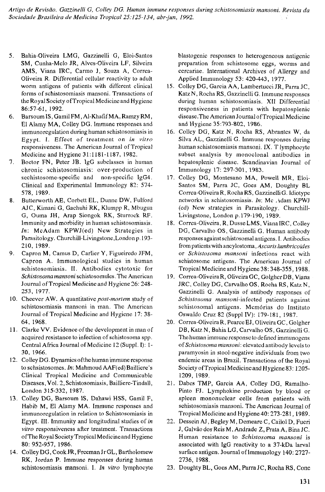- 5. Bahia-Oliveira LMG, Gazzinelli G, Eloi-Santos SM, Cunha-Melo JR, Alves-Oliveira LF, Silveira AMS, Viana IRC, Carmo J, Souza A, Correa-Oliveira R. Differential cellular reactivity to adult worm antigens of patients with different clinical forms of schistosomiasis mansoni. Transactions of the Royal Society of Tropical Medicine and Hygiene 86:57-61, 1992.
- 6. Barsoum IS, GamilFM, Al-KhafifMA, Ramzy RM, El Alamy MA, Colley DG. Immune responses and immunoregulation during human schistosomiasis in Egypt. I. Effect of treatment on *in vitro* responsiveness. The American Journal of Tropical Medicine and Hygiene 31:1181-1187, 1982.
- 7. Boctor FN, Peter JB. lgG subclasses in human chronic schistosomiasis: over-production of scchistosome-specific and non-specific IgG4. Clinical and Experimental Immunology 82: 574- 578, 1989.
- 8. Butterworth AE, Corbett EL, Dunne DW, Fulford AJC, Kimani G, Gachuhi RK, Klumpp R, Mbugiia G, Ouma JH, Arap Siongok RK, Sturrock RF. Immunity and morbidity in human schistosomiasis. *In:* McAdam KPWJ(ed) New Strategies in Parasitology. Churchill-Livingstone,London p. 193- 210, 1989.
- 9. Capron M, Camus D, Carlier Y, Figueiredo JFM, Capron A. Immunological studies in human schistosom iasis. II. Antibodies cytotoxic for *Schistosomamansoni* schistosomules. The American Journal of Tropical Medicine and Hygiene 26: 248- 253, 1977.
- 10. Cheever AW. A quantitative *post-mortem* study of schistosomiasis mansoni in man. The American Journal of Tropical Medicine and Hygiene 17: 38- 64, 1968.
- 11. Clarke VV. Evidence of the development in man of acquired resistance to infection of schistosoma spp. Central Africa Journal of Medicine 12(Suppl. I): 1- 30, 1966.
- 12. Colley DG. Dynamics ofthe human immune response to schsistosomes. *In:* Mahmoud AAF(ed) Bailliere's Clinical Tropical Medicine and Communicable Diseases, Vol. 2, Schistosomiasis, Bailliere-Tindall, London 315-332, 1987.
- 13. Colley DG, Barsoum IS, Dahawi HSS, Gamil F, Habib M, El Alamy MA. Immune responses and immunoregulation in relation to Schistosomiasis in Egypt. III. Immunity and longitudinal studies of *in vitro* responsiveness after treatment. Transactions ofThe Royal Society Tropical Medicineand Hygiene 80: 952-957, 1986.
- 14. Colley DG, Cook JR, Freeman Jr GL, Bartholomew RK, Jordan P. Immune responses during human schistosomiasis mansoni. I. *In vitro* lymphocyte

blastogénie responses to heterogeneous antigenic preparation from schistosome eggs, worms and cercariae. International Archives of Allergy and Applied Immunology 53: 420-443, 1977.

- 15. Colley DG, Garcia AA, Lambertucci JR, Parra JC, Katz N, Rocha RS, Gazzinelli G. Immune responses during human schistosomiasis. XII Differential responsiveness in patients with hepatosplenic disease.The American Journal of Tropical Medicine and Hygiene 35:793-802, 1986.
- 16. Colley DG, Katz N, Rocha RS, Abrantes W, da Silva AL, Gazzinelli G. Immune responses during human schistosomiasis mansoni. IX. T lymphocyte subset analysis by monoclonal antibodies in hepatosplenic disease. Scandinavian Journal of Immunology 17: 297-301, 1983.
- 17. Colley DG, Montesano MA, Powell MR, Eloi-Santos SM, Parra JC, Goes AM, Doughty BL Correa-OliveiraR, Rocha RS , Gazzinelli G. Idiotype networks in schistosomiasis. *In:* Mc Adam KPWJ (ed) New strategies in Parasitology, Churchill-Livingstone, London p. 179-190, 1989.
- 18. Correa-Oliveira, R, DusseLMS, VianalRC, Colley DG, Carvalho OS, Gazzinelli G. Human antibody responses againstschistosomalantigens. I. Antibodies from patients with ancylostoma, *Ascaris lumbricoides* or *Schistosoma mansoni* infections react with schistosome antigens. The American Journal of Tropical Medicine and Hygiene 38: 348-355, 1988.
- 19. Correa-OliveiraR, OliveiraGC, GolgherDB, Viana JRC, Colley DG, Carvalho OS, Rocha RS, Katz N, Gazzinelli G. Analysis of antibody responses of *Schistosoma mansoni-infccted* patients against schistosomal antigens. Memórias do Instituto Oswaldo Cruz 82 (Suppl IV): 179-181, 1987.
- 20. Correa-OliveiraR, PearceEJ, Oliveira GC, Golgher DB, Katz N, Bahia LG, Carvalho OS, Gazzinelli G. Thehuman immune response to defined immunogens of *Schistosoma mansoni:* elevated antibody levels to paramyosin in stool-negative individuals from two endemic areas in Brazil. Transactions of the Royal Society of Tropical Medicine and Hygiene 83: 1205-1209, 1989.
- 21. Dabes TMP, Garcia AA, Colley DG, Ramalho-Pinto FJ. Lymphokine production by blood or spleen mononuclear cells from patients with schistosomiasis mansoni. The American Journal of Tropical Medicineand Hygiene40:273-281,1989.
- 22. Dessein AJ, Begley M, Demeare C, Cailol D, Fueri J, Galvãodos Reis M, Andrade Z, Prata A, BinaJC. Human resistance to *Schistosoma mansoni* is associated with IgG reactivity to a 37-kDa larval surface antigen. Journal of Immunology 140:2727- 2736, 1988.
- 23. Doughty BL, Goes AM, ParraJC , Rocha RS, Cone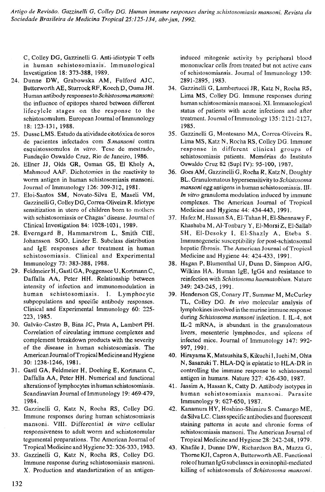C, Colley DG, Gazzinelli G. Anti-idiotypic T cells in human schistosomiasis. Immunological Investigation 18: 373-388, 1989.

- 24. Dunne DW, Grabowska AM, Fulford AJC, Butterworth AE, SturrockRF, Koech D, Ouma JH. Human antibody responses to *Schistosoma mansoni:* the influence of epitopes shared between different lifecylcle stages on the response to the sehistosomulum. European Journal of Immunology 18: 123-131, 1988.
- 25. Dusse LMS. Estudo da atividade citotóxica de soros de pacientes infectados com *S.mansoni* contra esquistossomulos *in vitro.* Tese de mestrado, Fundação Oswaldo Cruz, Rio de Janeiro, 1986.
- 26. Ellner JJ, Olds GR, Osman GS, El Kholy A, Mahmoud AAF. Dichotomies in the reactivity to worm antigen in human schistosomiasis mansoni. Journal of Immunology 126: 309-312, 1981.
- 27. Eloi-Santos SM, Novato-Silva E, Maseli VM, GazzinelliG, Colley DG, Correa-OliveiraR. Idiotype sensitization in utero of children bom to mothers with schistosomiasis or Chagas' disease. Journal of Clinical Investigation 84: 1028-1031, 1989.
- 28. Everngard B, Hammarstrom L, Smith CIE, Johansson SGO, Linder E. Subclass distribution and IgE responses after treatment in human schistosomiasis. Clinical and Experimental Immunology 73: 383-388, 1988.
- 29. Feldmeier H, Gastl GA, Poggensee U, Kortmann C, Daffalla AA, Peter HH. Relationship between intensity of infection and immunomodulation in human schistosomiasis. I. Lymphocyte subpopulations and specific antibody responses. Clinical and Experimental Immunology 60: 225- 223, 1985.
- 30. Galvão-Castro B, Bina JC, Prata A, Lambert PH. Correlation of circulating immune complexes and complement breakdown products with the severity of the disease in human schistosomiasis. The American Journal of Tropical Medicineand Hygiene 30: 1238-1246, 1981.
- 31. Gastl GA, Feldmeier H, Doehing E, Kortmann C, Daffalla AA, Peter HH. Numerical and functional alterationsof lymphocytes in human schistosomiasis. Scandinavian Journal of Immunology 19: 469-479, 1984.
- 32. Gazzinelli G, Katz N, Rocha RS, Colley DG. Immune responses during human schistosomiasis m ansoni. VIII. Differential *in vitro* cellular responsiveness to adult worm and schistosomular tegumental preparations. The American Journal of Tropical Medicine and Hygiene 32:326-333,1983.
- 33. Gazzinelli G, Katz N, Rocha RS, Colley DG. Immune response during schistosomiasis mansoni. X. Production and standartization of an antigen-

induced mitogenic activity by peripheral blood mononuclear cells from treated but not active cans of schistosomiansis. Journal of Immunology 130: 2891-2895, 1983.

- 34. Gazzinelli G, Lambertucci JR, Katz N, Rocha RS, Lima MS, Colley DG. Immune responses during human schistosomiasis mansoni. XI. Immunological status of patients with acute infections and after treatment. Journal of Immunology 135: 2121-2127, 1985.
- 35. Gazzinelli G, Montesano MA, Correa-Oliveira R, Lima MS, Katz N, Rocha RS, Colley DG. Immune response in different clinical groups of schistosomiasis patients. Memórias do Instituto Oswaldo Cruz 82 (Supl IV): 95-100, 1987.
- 36. Goes AM, Gazzinelli G, Rocha R, Katz N, Doughty BL. Granulomatous hypersensitivity to *Schistosoma mansoni*egg antigens in human schistosomiasis. Ill. *In vitro* granuloma modulation induced by immune complexes. The American Journal of Tropical Medicine and Hygiene 44: 434-443, 1991.
- 37. Hafez M, Hassan SA, El-Tahan H, El-Shennawy F, Khashaba M, Al-Tonbary Y, El-Morsi Z, El-Sallab SH, El-Desoky I, El-Shazly A, Eteba S. Immunogenetic susceptibility for post-schistosomal hepatic fibrosis. The American Journal of Tropical Medicineand Hygiene 44: 424-433, 1991.
- 38. Hagan P, Blumenthal UJ, Dunn D, Simpson AJG, Wilkins HA. Human IgE, IgG4 and resistance to reinfection with *Schistosoma haematobium.* Nature 349: 243-245, 1991.
- 39. Henderson GS, Conary JT, Summar M, McCurley TL, Colley DG. *In vivo* molecular analysis of lymphokines involved in the murine immune response during *Schistosoma mansoni* infection. I. IL-4, not IL-2 mRNA, is abundant in the granulomatous livers, mesenteric lymphnodes, and spleens of infected mice. Journal of Immunology 147: 992- 997, 1991.
- 40. Hirayama K, Matsushita S, Kikuchi I, Juchi M, Ohta N, Sasazuki T. HLA-DQ is epistatic to HLA-DR in controlling the immune response to schistosomal antigen in humans. Nature 327: 426-430, 1987.
- 41. Jassim A, Hassan K, Catty D. Antibody isotypes in human schistosomiasis mansoni. Parasite Immunology 9: 627-650, 1987.
- 42. Kanamura HY, Hoshino-Shimizu S. Camargo ME, daSilva LC. Class specific antibodies and fluorescent staining patterns in acute and chronic forms of schistosomiasis mansoni. The American Journal of Tropical Medicineand Hygiene 28:242-248, 1979.
- 43. Khafile J, Dunne DW, Richardson BA, Mazza G, Thorne KJI, Capron A, Butterworth AE. Functional roleof human IgG subclasses in eosinophil-mediated killing of schistosomula of *Schistosoma mansoni.*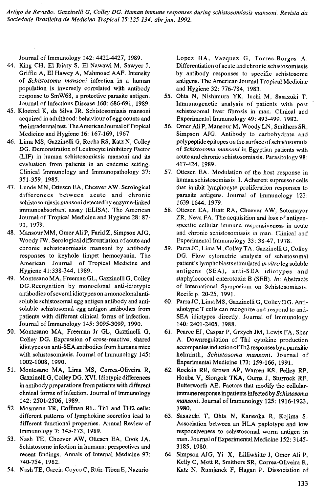Journal of Immunology 142: 4422-4427, 1989.

- 44. King CH, El Ibiary S, El Nawawi M, Sawyer J, Griffin A, El Hawey A, Mahmoud AAF. Intensity of *Schistosoma mansoni* infection in a human population is inversely correlated with antibody response to SmW68, a protective parasite antigen. Journal of Infectious Disease 160: 686-691, 1989.
- 45. Kloetzel K, da Silva JR. Schistosomiasis mansoni acquired in adulthood: behaviour of egg counts and the intradermal test. The American Journal of Tropical Medicine and Hygiene 16: 167-169, 1967.
- 46. Lima MS, Gazzinelli G, Rocha RS, Katz N, Colley DG. Demonstration of Leukocyte Inhibitory Factor (LIF) in human schistosomiasis mansoni and its evaluation from patients in an endemic setting. Clinical Immunology and Immunopathology 37: 351-359, 1985.
- 47. Lunde MN, Ottesen EA, Cheever AW. Serological differences between acute and chronic schistosomiasis mansoni detected by enzyme-linked immunoabsorbant assay (ELISA). The American Journal of Tropical Medicine and Hygiene 28: 87- 91, 1979.
- 48. Mansour MM, Omer Ali P, Farid Z, Simpson AJG, Woody JW. Serological differentiation of acute and chronic schistosomiasis mansoni by antibody responses to keyhole limpet hemocyanin. The American Journal of Tropical Medicine and Hygiene 41:338-344, 1989.
- 49. Montesano MA, Freeman GL, Gazzinelli G, Colley DG.Recognition by monoclonal anti-idiotypic antibodies of several idiotypes on a monoclonal antisoluble schistosomal egg antigen antibody and antisoluble schistosomal egg antigen antibodies from patients with different clinical forms of infection. Journal of Immunology 145: 3095-3099, 1990.
- 50. Montesano MA, Freeman Jr GL, Gazzinelli G, Colley DG. Expression of cross-reactive, shared idiotypes on anti-SEA antibodies from humans mice with schistosomiasis. Journal of Immunology 145: 1002-1008, 1990.
- 51. Montesano MA, Lima MS, Correa-Oliveira R, GazzinelliG, Colley DG, XVI. Idiotypic differences in antibody preparations from patients with different clinical forms of infection. Journal of Immunology 142: 2501-2506, 1989.
- 52. Mosmann TR, Coffman RL. Th1 and TH2 cells: different patterns of lymphokine secretion lead to different functional properties. Annual Review of Immunology 7: 145-173, 1989.
- 53. Nash TE, Cheever AW, Ottesen EA, Cook JA. Schistosome infection in humans: perspectives and recent findings. Annals of Internal Medicine 97: 740-754, 1982.
- 54. Nash TE, Garcia-Coyco C, Ruiz-Tiben E, Nazario-

Lopez HA, Vazquez G, Torres-Borges A. Differentiation of acute and chronic schistosomiasis by antibody responses to specific schistosome antigens. The American Journal Tropical Medicine and Hygiene 32: 776-784, 1983.

- 55. Ohta N, Nishimura YK, Iuchi M, Sasazuki T. Immunogenetic analysis of patients with post schistosomal liver fibrosis in man. Clinical and Experimental Immunology 49: 493-499, 1982.
- 56. Omer Ali P, Mansour M, Woody LN, Smithers SR, Simpson AJG. Antibody to carbohydrate and polypeptide epitopes on the surfaceof schistosomula of *Schistosoma mansoni* in Egyptian patients with acute and chronic schistosomiasis. Parasitology 98: 417-424, 1989.
- 57. Ottesen EA. Modulation of the host response in human schistosomiasis. I. Adherent supressor cells that inhibit lymphocyte proliferation responses to parasite antigens. Journal of Immunology 123: 1639-1644, 1979.
- 58. Ottesen EA, Hiatt RA, Cheever AW, Sotomayor ZR, Neva FA. The acquisition and loss of antigenspecific cellular immune responsiveness in acute and chronic schistosomiasis in man. Clinical and Experimental Immunology 33: 38-47, 1978.
- 59. Parra JC, Lima M, Colley TA, Gazzinelli G, Colley DG. Flow cytometric analysis of schistosomal patient's lymphoblasts stimulated *in vitro*leg soluble antigens (SEA), anti-SEA idiotypes and staphylococcal enterotoxin B (SEB). *In:* Abstracts of International Symposium on Schistosomiasis. Recife p. 20-25, 1991.
- 60. Parra JC, Lima MS, Gazzinelli G, Colley DG. Antiidiotypic T cells can recognize and respond to anti-SEA idiotypes directly. Journal of Immunology 140: 2401-2405, 1988.
- 61. Pearce EJ, Caspar P, Grzych JM, Lewis FA, Sher A. Downregulation of Th1 cytokine production accompanies induction of Th2 responses by a parasitic helminth, Schistosoma mansoni. Journal of Experimental Medicine 173: 159-166, 1991.
- 62. Rocklin RE, Brown AP, Warren KS, Pelley RP, Houba V, Siongok TKA, Ouma J, Sturrock RF, Butterworth AE. Factors that modify the cellularimmune response in patients infected by *Schistosoma mansoni.* Journal of Immunology 125: 1916-1923, 1980.
- 63. Sasazuki T, Ohta N, Kaneoka R, Kojima S. Association between an HLA paplotype and low responsiveness to schistosomal worm antigen in man. Journal of Experimental Medicine 152: 3145- 3185, 1980.
- 64. Simpson AJG, Yi X, Lilliwhitte J, Omer Ali P, Kelly C, Mott R, Smithers SR, Correa-Oliveira R, Katz N, Rumjanek F, Hagan P. Dissociation of